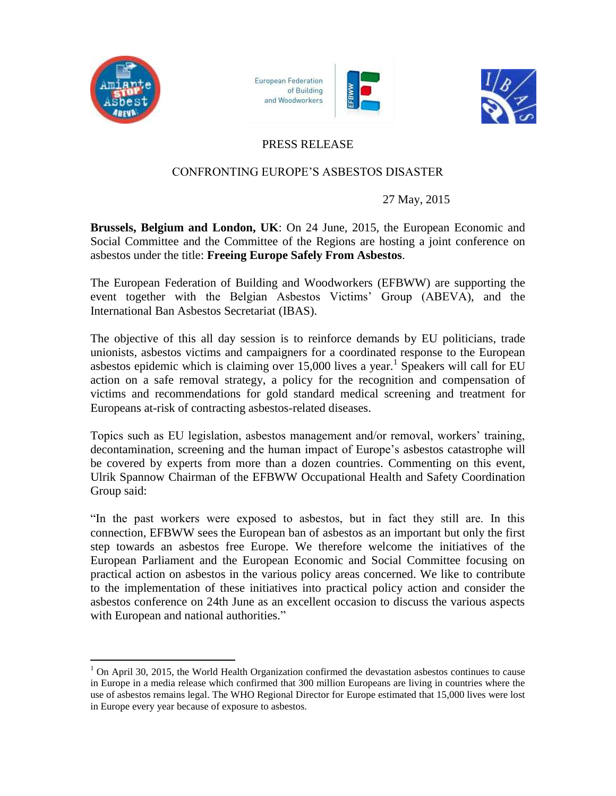

 $\overline{a}$ 

**European Federation** of Building and Woodworkers





## PRESS RELEASE

## CONFRONTING EUROPE'S ASBESTOS DISASTER

## 27 May, 2015

**Brussels, Belgium and London, UK**: On 24 June, 2015, the European Economic and Social Committee and the Committee of the Regions are hosting a joint conference on asbestos under the title: **Freeing Europe Safely From Asbestos**.

The European Federation of Building and Woodworkers (EFBWW) are supporting the event together with the Belgian Asbestos Victims' Group (ABEVA), and the International Ban Asbestos Secretariat (IBAS).

The objective of this all day session is to reinforce demands by EU politicians, trade unionists, asbestos victims and campaigners for a coordinated response to the European asbestos epidemic which is claiming over  $15,000$  lives a year.<sup>1</sup> Speakers will call for EU action on a safe removal strategy, a policy for the recognition and compensation of victims and recommendations for gold standard medical screening and treatment for Europeans at-risk of contracting asbestos-related diseases.

Topics such as EU legislation, asbestos management and/or removal, workers' training, decontamination, screening and the human impact of Europe's asbestos catastrophe will be covered by experts from more than a dozen countries. Commenting on this event, Ulrik Spannow Chairman of the EFBWW Occupational Health and Safety Coordination Group said:

"In the past workers were exposed to asbestos, but in fact they still are. In this connection, EFBWW sees the European ban of asbestos as an important but only the first step towards an asbestos free Europe. We therefore welcome the initiatives of the European Parliament and the European Economic and Social Committee focusing on practical action on asbestos in the various policy areas concerned. We like to contribute to the implementation of these initiatives into practical policy action and consider the asbestos conference on 24th June as an excellent occasion to discuss the various aspects with European and national authorities."

 $1$  On April 30, 2015, the World Health Organization confirmed the devastation asbestos continues to cause in Europe in a media release which confirmed that 300 million Europeans are living in countries where the use of asbestos remains legal. The WHO Regional Director for Europe estimated that 15,000 lives were lost in Europe every year because of exposure to asbestos.